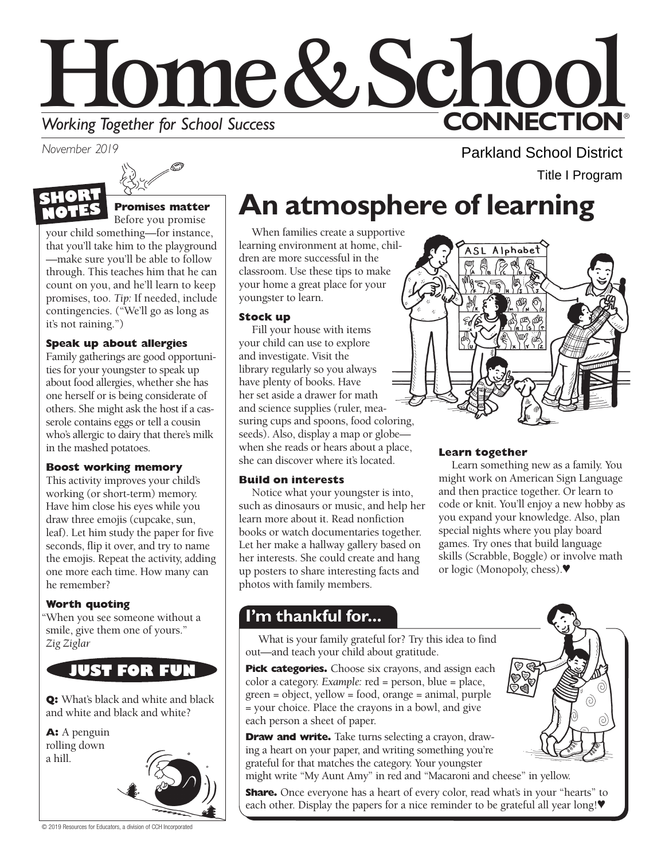

*November 2019* 



# **S Promises matter**

Before you promise

your child something—for instance, that you'll take him to the playground —make sure you'll be able to follow through. This teaches him that he can count on you, and he'll learn to keep promises, too. *Tip:* If needed, include contingencies. ("We'll go as long as it's not raining.")

## **Speak up about allergies**

Family gatherings are good opportunities for your youngster to speak up about food allergies, whether she has one herself or is being considerate of others. She might ask the host if a casserole contains eggs or tell a cousin who's allergic to dairy that there's milk in the mashed potatoes.

## **Boost working memory**

This activity improves your child's working (or short-term) memory. Have him close his eyes while you draw three emojis (cupcake, sun, leaf). Let him study the paper for five seconds, flip it over, and try to name the emojis. Repeat the activity, adding one more each time. How many can he remember?

## **Worth quoting**

"When you see someone without a smile, give them one of yours." *Zig Ziglar* 

# **JUST FOR FU**

**Q:** What's black and white and black and white and black and white?

**A:** A penguin rolling down a hill.



# **An atmosphere of learning**

When families create a supportive learning environment at home, children are more successful in the classroom. Use these tips to make your home a great place for your youngster to learn.

### **Stock up**

Fill your house with items your child can use to explore and investigate. Visit the library regularly so you always have plenty of books. Have her set aside a drawer for math and science supplies (ruler, measuring cups and spoons, food coloring, seeds). Also, display a map or globe when she reads or hears about a place, she can discover where it's located.

## **Build on interests**

Notice what your youngster is into, such as dinosaurs or music, and help her learn more about it. Read nonfiction books or watch documentaries together. Let her make a hallway gallery based on her interests. She could create and hang up posters to share interesting facts and photos with family members.

## **Learn together**

ASL Alphabet

Learn something new as a family. You might work on American Sign Language and then practice together. Or learn to code or knit. You'll enjoy a new hobby as you expand your knowledge. Also, plan special nights where you play board games. Try ones that build language skills (Scrabble, Boggle) or involve math or logic (Monopoly, chess).♥

Parkland School District

Title I Program

# **I'm thankful for...**

What is your family grateful for? Try this idea to find out—and teach your child about gratitude.

**Pick categories.** Choose six crayons, and assign each color a category. *Example:* red = person, blue = place, green = object, yellow = food, orange = animal, purple = your choice. Place the crayons in a bowl, and give each person a sheet of paper.

**Draw and write.** Take turns selecting a crayon, drawing a heart on your paper, and writing something you're grateful for that matches the category. Your youngster

might write "My Aunt Amy" in red and "Macaroni and cheese" in yellow.

**Share.** Once everyone has a heart of every color, read what's in your "hearts" to each other. Display the papers for a nice reminder to be grateful all year long!♥



© 2019 Resources for Educators, a division of CCH Incorporated